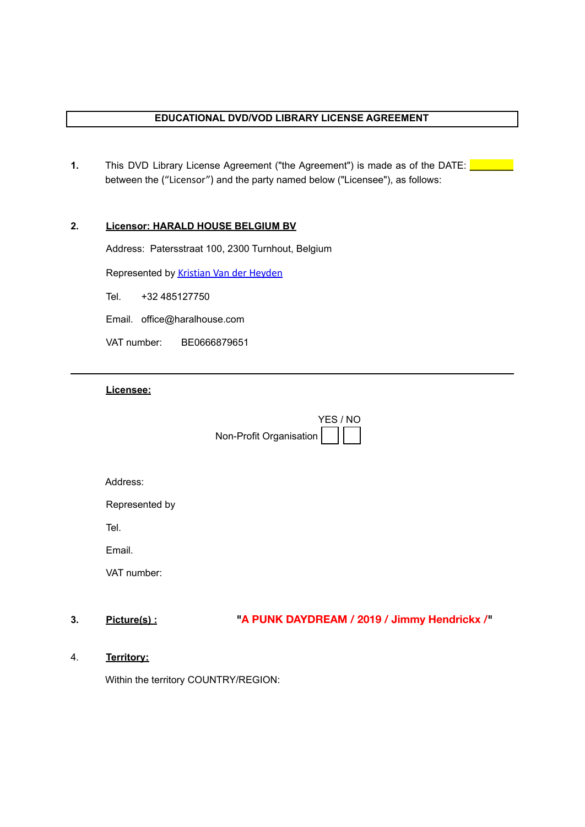# **EDUCATIONAL DVD/VOD LIBRARY LICENSE AGREEMENT**

**1.** This DVD Library License Agreement ("the Agreement") is made as of the DATE: **Let** between the ("Licensor") and the party named below ("Licensee"), as follows:

# **2. Licensor: HARALD HOUSE BELGIUM BV**

Address: Patersstraat 100, 2300 Turnhout, Belgium

Represented by [Kristian Van der Heyden](mailto:office@haraldhouse.com)

Tel. +32 485127750

Email. office@haralhouse.com

VAT number: BE0666879651

# **Licensee:**

Non-Profit Organisation YES / NO

| Address: |  |
|----------|--|

Represented by

Tel.

Email.

VAT number:

**3. Picture(s) : "A PUNK DAYDREAM / 2019 / Jimmy Hendrickx /"**

4. **Territory:**

Within the territory COUNTRY/REGION: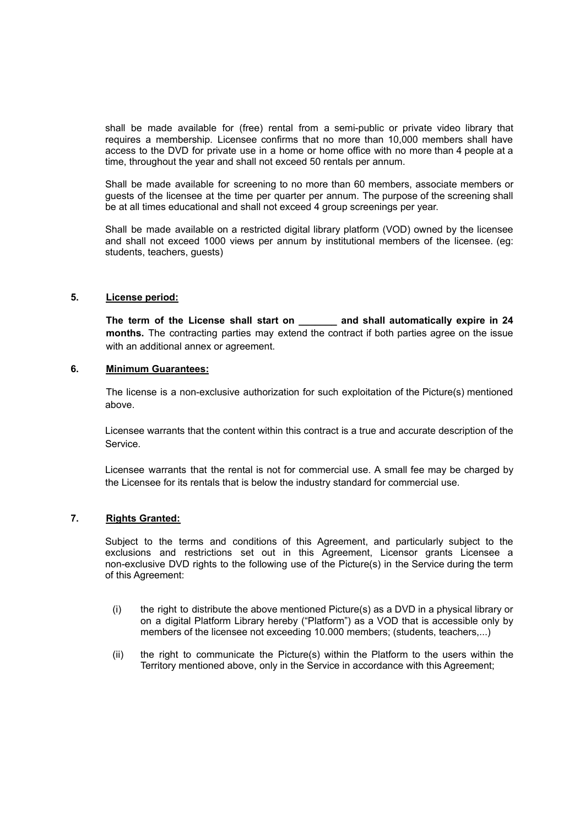shall be made available for (free) rental from a semi-public or private video library that requires a membership. Licensee confirms that no more than 10,000 members shall have access to the DVD for private use in a home or home office with no more than 4 people at a time, throughout the year and shall not exceed 50 rentals per annum.

Shall be made available for screening to no more than 60 members, associate members or guests of the licensee at the time per quarter per annum. The purpose of the screening shall be at all times educational and shall not exceed 4 group screenings per year.

Shall be made available on a restricted digital library platform (VOD) owned by the licensee and shall not exceed 1000 views per annum by institutional members of the licensee. (eg: students, teachers, guests)

#### **5. License period:**

**The term of the License shall start on \_\_\_\_\_\_\_ and shall automatically expire in 24 months.** The contracting parties may extend the contract if both parties agree on the issue with an additional annex or agreement.

### **6. Minimum Guarantees:**

The license is a non-exclusive authorization for such exploitation of the Picture(s) mentioned above.

Licensee warrants that the content within this contract is a true and accurate description of the Service.

Licensee warrants that the rental is not for commercial use. A small fee may be charged by the Licensee for its rentals that is below the industry standard for commercial use.

#### **7. Rights Granted:**

Subject to the terms and conditions of this Agreement, and particularly subject to the exclusions and restrictions set out in this Agreement, Licensor grants Licensee a non-exclusive DVD rights to the following use of the Picture(s) in the Service during the term of this Agreement:

- (i) the right to distribute the above mentioned Picture(s) as a DVD in a physical library or on a digital Platform Library hereby ("Platform") as a VOD that is accessible only by members of the licensee not exceeding 10.000 members; (students, teachers,...)
- (ii) the right to communicate the Picture(s) within the Platform to the users within the Territory mentioned above, only in the Service in accordance with this Agreement;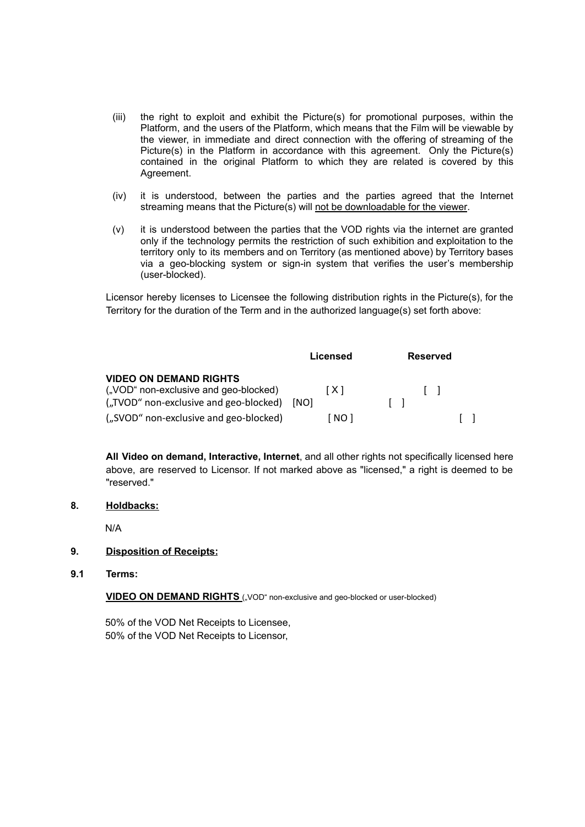- (iii) the right to exploit and exhibit the Picture(s) for promotional purposes, within the Platform, and the users of the Platform, which means that the Film will be viewable by the viewer, in immediate and direct connection with the offering of streaming of the Picture(s) in the Platform in accordance with this agreement. Only the Picture(s) contained in the original Platform to which they are related is covered by this Agreement.
- (iv) it is understood, between the parties and the parties agreed that the Internet streaming means that the Picture(s) will not be downloadable for the viewer.
- (v) it is understood between the parties that the VOD rights via the internet are granted only if the technology permits the restriction of such exhibition and exploitation to the territory only to its members and on Territory (as mentioned above) by Territory bases via a geo-blocking system or sign-in system that verifies the user's membership (user-blocked).

Licensor hereby licenses to Licensee the following distribution rights in the Picture(s), for the Territory for the duration of the Term and in the authorized language(s) set forth above:

|                                                                                                                  | Licensed      | <b>Reserved</b> |
|------------------------------------------------------------------------------------------------------------------|---------------|-----------------|
| <b>VIDEO ON DEMAND RIGHTS</b><br>("VOD" non-exclusive and geo-blocked)<br>("TVOD" non-exclusive and geo-blocked) | [X]<br>- INOT |                 |
| ("SVOD" non-exclusive and geo-blocked)                                                                           | [ NO 1        |                 |

**All Video on demand, Interactive, Internet**, and all other rights not specifically licensed here above, are reserved to Licensor. If not marked above as "licensed," a right is deemed to be "reserved."

### **8. Holdbacks:**

N/A

#### **9. Disposition of Receipts:**

**9.1 Terms:**

**VIDEO ON DEMAND RIGHTS** ("VOD" non-exclusive and geo-blocked or user-blocked)

50% of the VOD Net Receipts to Licensee, 50% of the VOD Net Receipts to Licensor,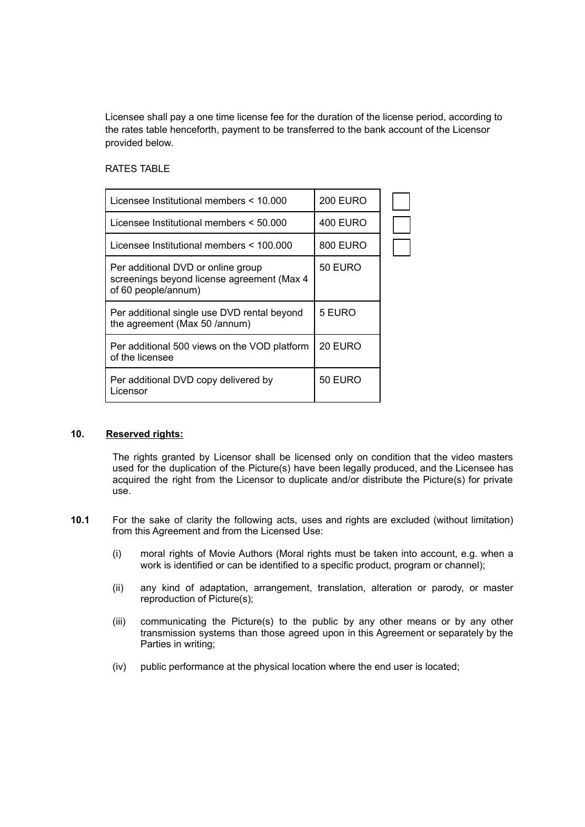Licensee shall pay a one time license fee for the duration of the license period, according to the rates table henceforth, payment to be transferred to the bank account of the Licensor provided below.

### RATES TABLE

| Licensee Institutional members < 10.000                                                                 | <b>200 EURO</b> |  |
|---------------------------------------------------------------------------------------------------------|-----------------|--|
| Licensee Institutional members < 50.000                                                                 | 400 EURO        |  |
| Licensee Institutional members < 100.000                                                                | 800 EURO        |  |
| Per additional DVD or online group<br>screenings beyond license agreement (Max 4<br>of 60 people/annum) | 50 EURO         |  |
| Per additional single use DVD rental beyond<br>the agreement (Max 50 /annum)                            | 5 EURO          |  |
| Per additional 500 views on the VOD platform<br>of the licensee                                         | 20 EURO         |  |
| Per additional DVD copy delivered by<br>Licensor                                                        | 50 EURO         |  |

## **10. Reserved rights:**

The rights granted by Licensor shall be licensed only on condition that the video masters used for the duplication of the Picture(s) have been legally produced, and the Licensee has acquired the right from the Licensor to duplicate and/or distribute the Picture(s) for private use.

- **10.1** For the sake of clarity the following acts, uses and rights are excluded (without limitation) from this Agreement and from the Licensed Use:
	- (i) moral rights of Movie Authors (Moral rights must be taken into account, e.g. when a work is identified or can be identified to a specific product, program or channel);
	- (ii) any kind of adaptation, arrangement, translation, alteration or parody, or master reproduction of Picture(s);
	- (iii) communicating the Picture(s) to the public by any other means or by any other transmission systems than those agreed upon in this Agreement or separately by the Parties in writing;
	- (iv) public performance at the physical location where the end user is located;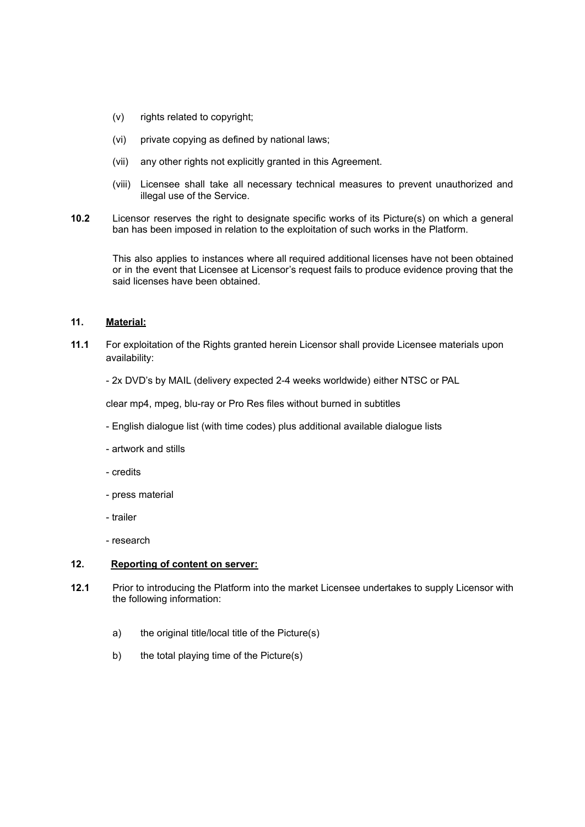- (v) rights related to copyright;
- (vi) private copying as defined by national laws;
- (vii) any other rights not explicitly granted in this Agreement.
- (viii) Licensee shall take all necessary technical measures to prevent unauthorized and illegal use of the Service.
- **10.2** Licensor reserves the right to designate specific works of its Picture(s) on which a general ban has been imposed in relation to the exploitation of such works in the Platform.

This also applies to instances where all required additional licenses have not been obtained or in the event that Licensee at Licensor's request fails to produce evidence proving that the said licenses have been obtained.

## **11. Material:**

- **11.1** For exploitation of the Rights granted herein Licensor shall provide Licensee materials upon availability:
	- 2x DVD's by MAIL (delivery expected 2-4 weeks worldwide) either NTSC or PAL

clear mp4, mpeg, blu-ray or Pro Res files without burned in subtitles

- English dialogue list (with time codes) plus additional available dialogue lists
- artwork and stills
- credits
- press material
- trailer
- research

# **12. Reporting of content on server:**

- **12.1** Prior to introducing the Platform into the market Licensee undertakes to supply Licensor with the following information:
	- a) the original title/local title of the Picture(s)
	- b) the total playing time of the Picture(s)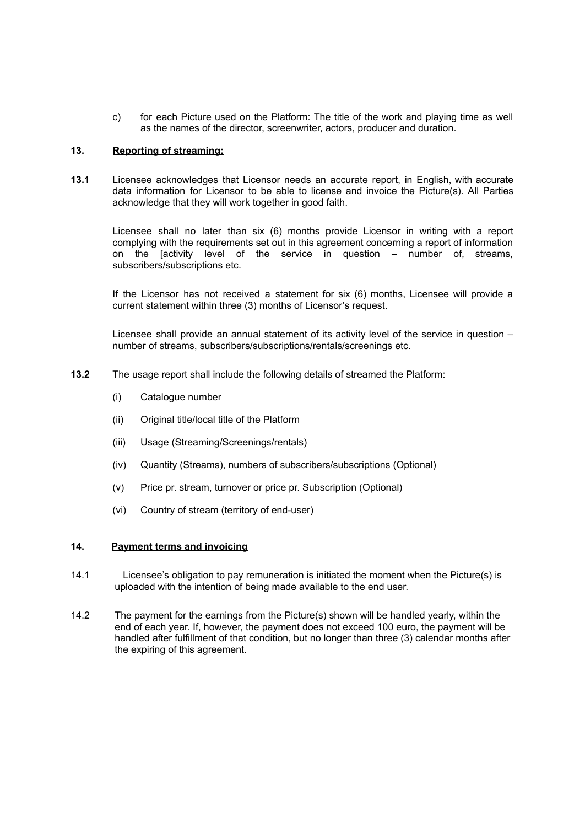c) for each Picture used on the Platform: The title of the work and playing time as well as the names of the director, screenwriter, actors, producer and duration.

# **13. Reporting of streaming:**

**13.1** Licensee acknowledges that Licensor needs an accurate report, in English, with accurate data information for Licensor to be able to license and invoice the Picture(s). All Parties acknowledge that they will work together in good faith.

Licensee shall no later than six (6) months provide Licensor in writing with a report complying with the requirements set out in this agreement concerning a report of information on the [activity level of the service in question – number of, streams, subscribers/subscriptions etc.

If the Licensor has not received a statement for six (6) months, Licensee will provide a current statement within three (3) months of Licensor's request.

Licensee shall provide an annual statement of its activity level of the service in question – number of streams, subscribers/subscriptions/rentals/screenings etc.

- **13.2** The usage report shall include the following details of streamed the Platform:
	- (i) Catalogue number
	- (ii) Original title/local title of the Platform
	- (iii) Usage (Streaming/Screenings/rentals)
	- (iv) Quantity (Streams), numbers of subscribers/subscriptions (Optional)
	- (v) Price pr. stream, turnover or price pr. Subscription (Optional)
	- (vi) Country of stream (territory of end-user)

## **14. Payment terms and invoicing**

- 14.1 Licensee's obligation to pay remuneration is initiated the moment when the Picture(s) is uploaded with the intention of being made available to the end user.
- 14.2 The payment for the earnings from the Picture(s) shown will be handled yearly, within the end of each year. If, however, the payment does not exceed 100 euro, the payment will be handled after fulfillment of that condition, but no longer than three (3) calendar months after the expiring of this agreement.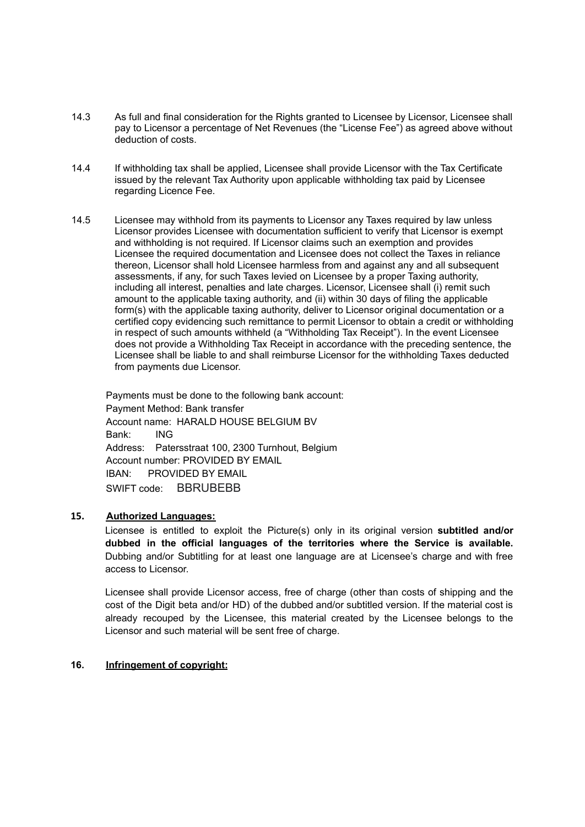- 14.3 As full and final consideration for the Rights granted to Licensee by Licensor, Licensee shall pay to Licensor a percentage of Net Revenues (the "License Fee") as agreed above without deduction of costs.
- 14.4 If withholding tax shall be applied, Licensee shall provide Licensor with the Tax Certificate issued by the relevant Tax Authority upon applicable withholding tax paid by Licensee regarding Licence Fee.
- 14.5 Licensee may withhold from its payments to Licensor any Taxes required by law unless Licensor provides Licensee with documentation sufficient to verify that Licensor is exempt and withholding is not required. If Licensor claims such an exemption and provides Licensee the required documentation and Licensee does not collect the Taxes in reliance thereon, Licensor shall hold Licensee harmless from and against any and all subsequent assessments, if any, for such Taxes levied on Licensee by a proper Taxing authority, including all interest, penalties and late charges. Licensor, Licensee shall (i) remit such amount to the applicable taxing authority, and (ii) within 30 days of filing the applicable form(s) with the applicable taxing authority, deliver to Licensor original documentation or a certified copy evidencing such remittance to permit Licensor to obtain a credit or withholding in respect of such amounts withheld (a "Withholding Tax Receipt"). In the event Licensee does not provide a Withholding Tax Receipt in accordance with the preceding sentence, the Licensee shall be liable to and shall reimburse Licensor for the withholding Taxes deducted from payments due Licensor.

Payments must be done to the following bank account: Payment Method: Bank transfer Account name: HARALD HOUSE BELGIUM BV Bank: ING Address: Patersstraat 100, 2300 Turnhout, Belgium Account number: PROVIDED BY EMAIL IBAN: PROVIDED BY EMAIL SWIFT code: BBRUBEBB

# **15. Authorized Languages:**

Licensee is entitled to exploit the Picture(s) only in its original version **subtitled and/or dubbed in the official languages of the territories where the Service is available.** Dubbing and/or Subtitling for at least one language are at Licensee's charge and with free access to Licensor.

Licensee shall provide Licensor access, free of charge (other than costs of shipping and the cost of the Digit beta and/or HD) of the dubbed and/or subtitled version. If the material cost is already recouped by the Licensee, this material created by the Licensee belongs to the Licensor and such material will be sent free of charge.

#### **16. Infringement of copyright:**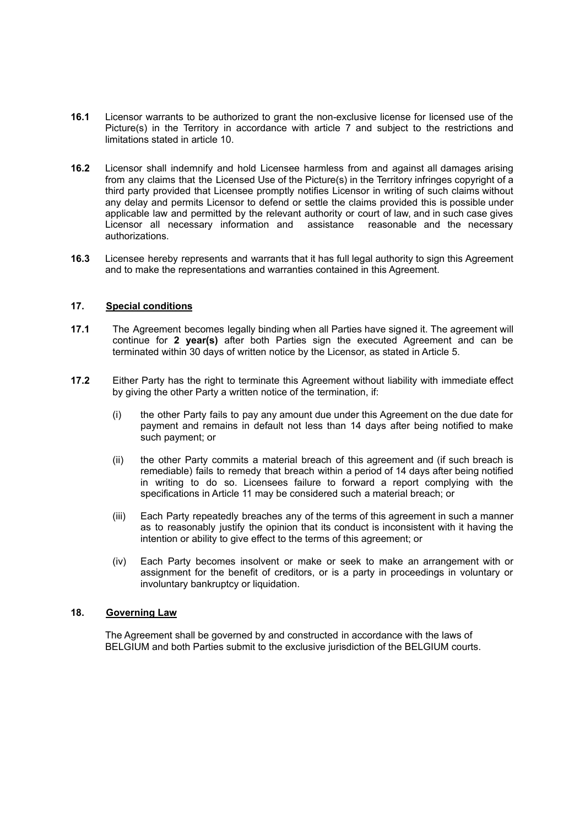- **16.1** Licensor warrants to be authorized to grant the non-exclusive license for licensed use of the Picture(s) in the Territory in accordance with article 7 and subject to the restrictions and limitations stated in article 10.
- **16.2** Licensor shall indemnify and hold Licensee harmless from and against all damages arising from any claims that the Licensed Use of the Picture(s) in the Territory infringes copyright of a third party provided that Licensee promptly notifies Licensor in writing of such claims without any delay and permits Licensor to defend or settle the claims provided this is possible under applicable law and permitted by the relevant authority or court of law, and in such case gives Licensor all necessary information and assistance reasonable and the necessary authorizations.
- **16.3** Licensee hereby represents and warrants that it has full legal authority to sign this Agreement and to make the representations and warranties contained in this Agreement.

### **17. Special conditions**

- **17.1** The Agreement becomes legally binding when all Parties have signed it. The agreement will continue for **2 year(s)** after both Parties sign the executed Agreement and can be terminated within 30 days of written notice by the Licensor, as stated in Article 5.
- **17.2** Either Party has the right to terminate this Agreement without liability with immediate effect by giving the other Party a written notice of the termination, if:
	- (i) the other Party fails to pay any amount due under this Agreement on the due date for payment and remains in default not less than 14 days after being notified to make such payment; or
	- (ii) the other Party commits a material breach of this agreement and (if such breach is remediable) fails to remedy that breach within a period of 14 days after being notified in writing to do so. Licensees failure to forward a report complying with the specifications in Article 11 may be considered such a material breach; or
	- (iii) Each Party repeatedly breaches any of the terms of this agreement in such a manner as to reasonably justify the opinion that its conduct is inconsistent with it having the intention or ability to give effect to the terms of this agreement; or
	- (iv) Each Party becomes insolvent or make or seek to make an arrangement with or assignment for the benefit of creditors, or is a party in proceedings in voluntary or involuntary bankruptcy or liquidation.

#### **18. Governing Law**

The Agreement shall be governed by and constructed in accordance with the laws of BELGIUM and both Parties submit to the exclusive jurisdiction of the BELGIUM courts.